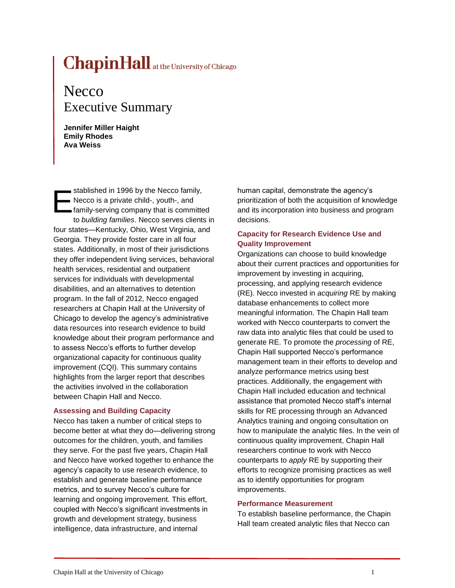# **at the University of Chicago**

## **Necco** Executive Summary

**Jennifer Miller Haight Emily Rhodes Ava Weiss**

stablished in 1996 by the Necco family, Necco is a private child-, youth-, and family-serving company that is committed to *building families*. Necco serves clients in four states—Kentucky, Ohio, West Virginia, and Georgia. They provide foster care in all four states. Additionally, in most of their jurisdictions they offer independent living services, behavioral health services, residential and outpatient services for individuals with developmental disabilities, and an alternatives to detention program. In the fall of 2012, Necco engaged researchers at Chapin Hall at the University of Chicago to develop the agency's administrative data resources into research evidence to build knowledge about their program performance and to assess Necco's efforts to further develop organizational capacity for continuous quality improvement (CQI). This summary contains highlights from the larger report that describes the activities involved in the collaboration between Chapin Hall and Necco. E

#### **Assessing and Building Capacity**

Necco has taken a number of critical steps to become better at what they do—delivering strong outcomes for the children, youth, and families they serve. For the past five years, Chapin Hall and Necco have worked together to enhance the agency's capacity to use research evidence, to establish and generate baseline performance metrics, and to survey Necco's culture for learning and ongoing improvement. This effort, coupled with Necco's significant investments in growth and development strategy, business intelligence, data infrastructure, and internal

human capital, demonstrate the agency's prioritization of both the acquisition of knowledge and its incorporation into business and program decisions.

#### **Capacity for Research Evidence Use and Quality Improvement**

Organizations can choose to build knowledge about their current practices and opportunities for improvement by investing in acquiring, processing, and applying research evidence (RE). Necco invested in *acquiring* RE by making database enhancements to collect more meaningful information. The Chapin Hall team worked with Necco counterparts to convert the raw data into analytic files that could be used to generate RE. To promote the *processing* of RE, Chapin Hall supported Necco's performance management team in their efforts to develop and analyze performance metrics using best practices. Additionally, the engagement with Chapin Hall included education and technical assistance that promoted Necco staff's internal skills for RE processing through an Advanced Analytics training and ongoing consultation on how to manipulate the analytic files. In the vein of continuous quality improvement, Chapin Hall researchers continue to work with Necco counterparts to *apply* RE by supporting their efforts to recognize promising practices as well as to identify opportunities for program improvements.

#### **Performance Measurement**

To establish baseline performance, the Chapin Hall team created analytic files that Necco can